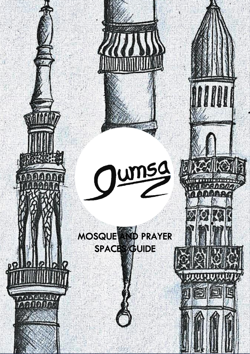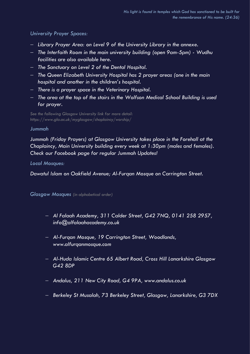## *University Prayer Spaces:*

- *Library Prayer Area: on Level 9 of the University Library in the annexe.*
- *The Interfaith Room in the main university building (open 9am-5pm) - Wudhu facilities are also available here.*
- *The Sanctuary on Level 2 of the Dental Hospital.*
- *The Queen Elizabeth University Hospital has 2 prayer areas (one in the main hospital and another in the children's hospital.*
- *There is a prayer space in the Veterinary Hospital.*
- *The area at the top of the stairs in the Wolfson Medical School Building is used for prayer.*

*See the following Glasgow University link for more detail: https://www.gla.ac.uk/myglasgow/chaplaincy/worship/*

## *Jummah*

*Jummah (Friday Prayers) at Glasgow University takes place in the Forehall at the Chaplaincy, Main University building every week at 1:30pm (males and females). Check our Facebook page for regular Jummah Updates!* 

*Local Mosques:* 

*Dawatul Islam on Oakfield Avenue; Al-Furqan Mosque on Carrington Street.*

*Glasgow Mosques (in alphabetical order)*

- *Al Falaah Academy, 311 Calder Street, G42 7NQ, 0141 258 2957, info@alfalaahacademy.co.uk*
- *Al-Furqan Mosque, 19 Carrington Street, Woodlands, www.alfurqanmosque.com*
- *Al-Huda Islamic Centre 65 Albert Road, Cross Hill Lanarkshire Glasgow G42 8DP*
- *Andalus, 211 New City Road, G4 9PA, www.andalus.co.uk*
- *Berkeley St Musalah, 73 Berkeley Street, Glasgow, Lanarkshire, G3 7DX*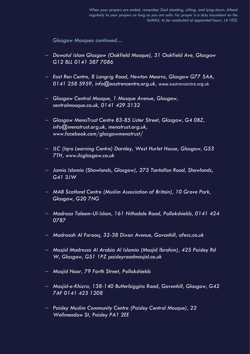*Glasgow Mosques continued…*

- *Dawatul Islam Glasgow (Oakfield Mosque), 31 Oakfield Ave, Glasgow G12 8LL 0141 387 7086*
- *East Ren Centre, 8 Langrig Road, Newton Mearns, Glasgow G77 5AA, 0141 258 5959, info@eastrencentre.org.uk,* [www.eastrencentre.org.uk](http://www.eastrencentre.org.uk/)
- *Glasgow Central Mosque, 1 Mosque Avenue, Glasgow, centralmosque.co.uk, 0141 429 3132*
- *Glasgow MenaTrust Centre 83-85 Lister Street, Glasgow, G4 0BZ, info@menatrust.org.uk, menatrust.org.uk, [www.facebook.com/glasgowmenatrust/](http://www.facebook.com/glasgowmenatrust/)*
- *ILC (Iqra Learning Centre) Darnley, West Hurlet House, Glasgow, G53 7TH, www.ilcglasgow.co.uk*
- *Jamia Islamia (Shawlands, Glasgow), 275 Tantallon Road, Shawlands, G41 3JW*
- *MAB Scotland Centre (Muslim Association of Britain), 10 Grove Park, Glasgow, G20 7NG*
- *Madrasa Taleem-Ul-Islam, 161 Nithsdale Road, Pollokshields, 0141 424 0787*
- *Madrasah Al Farooq, 32-38 Dixon Avenue, Govanhill, afecc.co.uk*
- *Masjid Madressa Al Arabia Al Islamia (Masjid Ibrahim), 425 Paisley Rd W, Glasgow, G51 1PZ paisleyroadmasjid.co.uk*
- *Masjid Noor, 79 Forth Street, Pollokshields*
- *Masjid-e-Khizra, 138-140 Butterbiggins Road, Govanhill, Glasgow, G42 7AF 0141 423 1208*
- *Paisley Muslim Community Centre (Paisley Central Mosque), 22 Wellmeadow St, Paisley PA1 2EE*